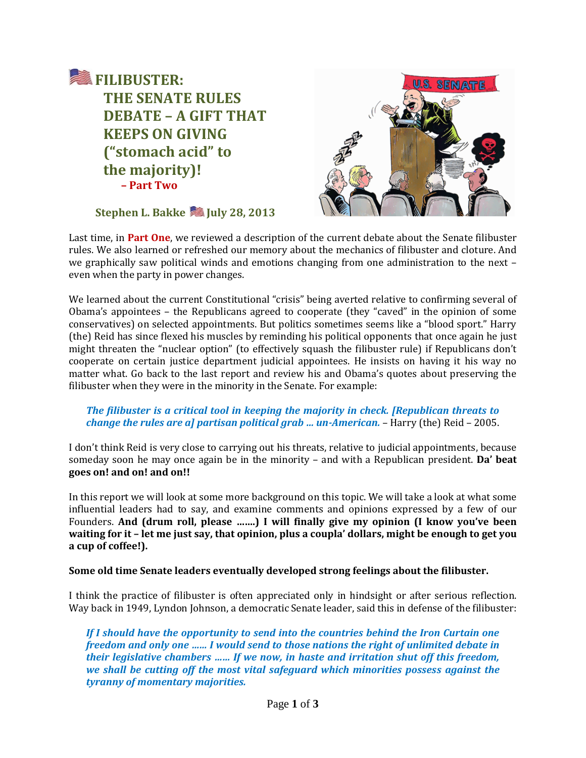



**Stephen L. Bakke July 28, 2013**

Last time, in **Part One**, we reviewed a description of the current debate about the Senate filibuster rules. We also learned or refreshed our memory about the mechanics of filibuster and cloture. And we graphically saw political winds and emotions changing from one administration to the next – even when the party in power changes.

We learned about the current Constitutional "crisis" being averted relative to confirming several of Obama's appointees – the Republicans agreed to cooperate (they "caved" in the opinion of some conservatives) on selected appointments. But politics sometimes seems like a "blood sport." Harry (the) Reid has since flexed his muscles by reminding his political opponents that once again he just might threaten the "nuclear option" (to effectively squash the filibuster rule) if Republicans don't cooperate on certain justice department judicial appointees. He insists on having it his way no matter what. Go back to the last report and review his and Obama's quotes about preserving the filibuster when they were in the minority in the Senate. For example:

## *The filibuster is a critical tool in keeping the majority in check. [Republican threats to change the rules are a] partisan political grab … un-American.* – Harry (the) Reid – 2005.

I don't think Reid is very close to carrying out his threats, relative to judicial appointments, because someday soon he may once again be in the minority – and with a Republican president. **Da' beat goes on! and on! and on!!**

In this report we will look at some more background on this topic. We will take a look at what some influential leaders had to say, and examine comments and opinions expressed by a few of our Founders. **And (drum roll, please …….) I will finally give my opinion (I know you've been waiting for it – let me just say, that opinion, plus a coupla' dollars, might be enough to get you a cup of coffee!).**

## **Some old time Senate leaders eventually developed strong feelings about the filibuster.**

I think the practice of filibuster is often appreciated only in hindsight or after serious reflection. Way back in 1949, Lyndon Johnson, a democratic Senate leader, said this in defense of the filibuster:

*If I should have the opportunity to send into the countries behind the Iron Curtain one freedom and only one …… I would send to those nations the right of unlimited debate in their legislative chambers …… If we now, in haste and irritation shut off this freedom, we shall be cutting off the most vital safeguard which minorities possess against the tyranny of momentary majorities.*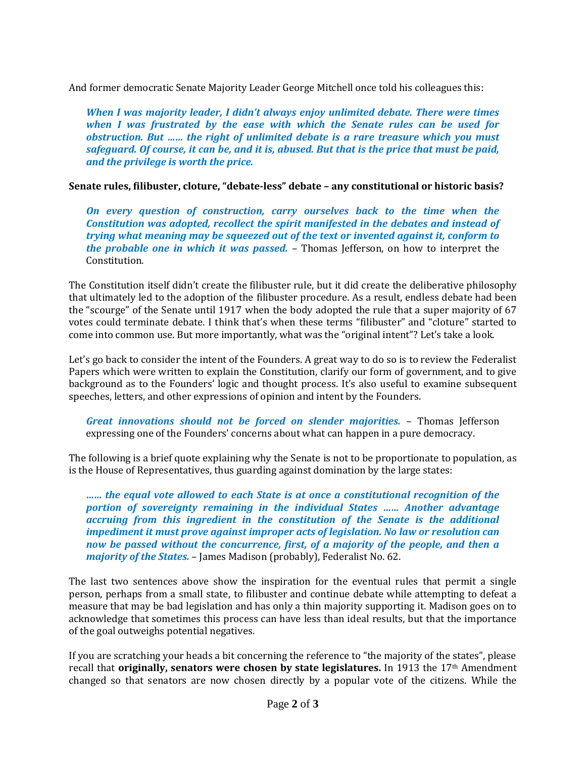And former democratic Senate Majority Leader George Mitchell once told his colleagues this:

*When I was majority leader, I didn't always enjoy unlimited debate. There were times when I was frustrated by the ease with which the Senate rules can be used for obstruction. But …… the right of unlimited debate is a rare treasure which you must safeguard. Of course, it can be, and it is, abused. But that is the price that must be paid, and the privilege is worth the price.*

**Senate rules, filibuster, cloture, "debate-less" debate – any constitutional or historic basis?**

*On every question of construction, carry ourselves back to the time when the Constitution was adopted, recollect the spirit manifested in the debates and instead of trying what meaning may be squeezed out of the text or invented against it, conform to the probable one in which it was passed.* – Thomas Jefferson, on how to interpret the Constitution.

The Constitution itself didn't create the filibuster rule, but it did create the deliberative philosophy that ultimately led to the adoption of the filibuster procedure. As a result, endless debate had been the "scourge" of the Senate until 1917 when the body adopted the rule that a super majority of 67 votes could terminate debate. I think that's when these terms "filibuster" and "cloture" started to come into common use. But more importantly, what was the "original intent"? Let's take a look.

Let's go back to consider the intent of the Founders. A great way to do so is to review the Federalist Papers which were written to explain the Constitution, clarify our form of government, and to give background as to the Founders' logic and thought process. It's also useful to examine subsequent speeches, letters, and other expressions of opinion and intent by the Founders.

*Great innovations should not be forced on slender majorities.* – Thomas Jefferson expressing one of the Founders' concerns about what can happen in a pure democracy.

The following is a brief quote explaining why the Senate is not to be proportionate to population, as is the House of Representatives, thus guarding against domination by the large states:

*…… the equal vote allowed to each State is at once a constitutional recognition of the portion of sovereignty remaining in the individual States …… Another advantage accruing from this ingredient in the constitution of the Senate is the additional impediment it must prove against improper acts of legislation. No law or resolution can now be passed without the concurrence, first, of a majority of the people, and then a majority of the States.* – James Madison (probably), Federalist No. 62.

The last two sentences above show the inspiration for the eventual rules that permit a single person, perhaps from a small state, to filibuster and continue debate while attempting to defeat a measure that may be bad legislation and has only a thin majority supporting it. Madison goes on to acknowledge that sometimes this process can have less than ideal results, but that the importance of the goal outweighs potential negatives.

If you are scratching your heads a bit concerning the reference to "the majority of the states", please recall that **originally, senators were chosen by state legislatures.** In 1913 the 17<sup>th</sup> Amendment changed so that senators are now chosen directly by a popular vote of the citizens. While the